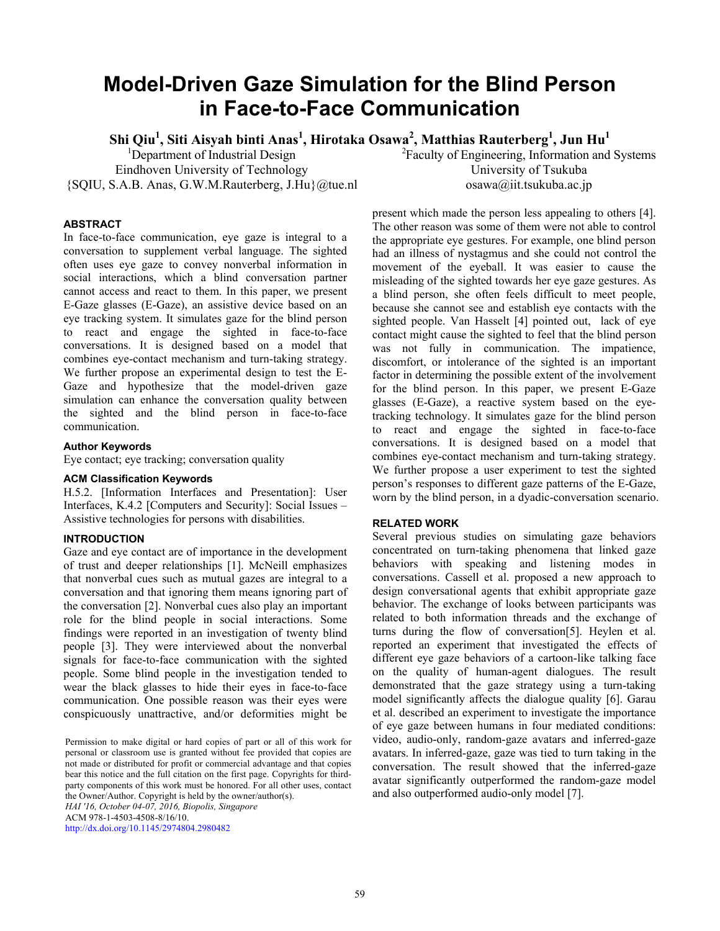# **Model-Driven Gaze Simulation for the Blind Person in Face-to-Face Communication**

 $\mathbf{S}$ hi Qiu<sup>1</sup>, Siti Aisyah binti Anas<sup>1</sup>, Hirotaka Osawa<sup>2</sup>, Matthias Rauterberg<sup>1</sup>, Jun Hu<sup>1</sup>

<sup>1</sup>Department of Industrial Design Eindhoven University of Technology {SQIU, S.A.B. Anas, G.W.M.Rauterberg, J.Hu}@tue.nl <sup>2</sup> Faculty of Engineering, Information and Systems University of Tsukuba osawa@iit.tsukuba.ac.jp

# **ABSTRACT**

In face-to-face communication, eye gaze is integral to a conversation to supplement verbal language. The sighted often uses eye gaze to convey nonverbal information in social interactions, which a blind conversation partner cannot access and react to them. In this paper, we present E-Gaze glasses (E-Gaze), an assistive device based on an eye tracking system. It simulates gaze for the blind person to react and engage the sighted in face-to-face conversations. It is designed based on a model that combines eye-contact mechanism and turn-taking strategy. We further propose an experimental design to test the E-Gaze and hypothesize that the model-driven gaze simulation can enhance the conversation quality between the sighted and the blind person in face-to-face communication.

### **Author Keywords**

Eye contact; eye tracking; conversation quality

### **ACM Classification Keywords**

H.5.2. [Information Interfaces and Presentation]: User Interfaces, K.4.2 [Computers and Security]: Social Issues – Assistive technologies for persons with disabilities.

# **INTRODUCTION**

Gaze and eye contact are of importance in the development of trust and deeper relationships [1]. McNeill emphasizes that nonverbal cues such as mutual gazes are integral to a conversation and that ignoring them means ignoring part of the conversation [2]. Nonverbal cues also play an important role for the blind people in social interactions. Some findings were reported in an investigation of twenty blind people [3]. They were interviewed about the nonverbal signals for face-to-face communication with the sighted people. Some blind people in the investigation tended to wear the black glasses to hide their eyes in face-to-face communication. One possible reason was their eyes were conspicuously unattractive, and/or deformities might be

Permission to make digital or hard copies of part or all of this work for personal or classroom use is granted without fee provided that copies are not made or distributed for profit or commercial advantage and that copies bear this notice and the full citation on the first page. Copyrights for thirdparty components of this work must be honored. For all other uses, contact the Owner/Author. Copyright is held by the owner/author(s). *HAI '16, October 04-07, 2016, Biopolis, Singapore*

ACM 978-1-4503-4508-8/16/10.

http://dx.doi.org/10.1145/2974804.2980482

present which made the person less appealing to others [4]. The other reason was some of them were not able to control the appropriate eye gestures. For example, one blind person had an illness of nystagmus and she could not control the movement of the eyeball. It was easier to cause the misleading of the sighted towards her eye gaze gestures. As a blind person, she often feels difficult to meet people, because she cannot see and establish eye contacts with the sighted people. Van Hasselt [4] pointed out, lack of eye contact might cause the sighted to feel that the blind person was not fully in communication. The impatience, discomfort, or intolerance of the sighted is an important factor in determining the possible extent of the involvement for the blind person. In this paper, we present E-Gaze glasses (E-Gaze), a reactive system based on the eyetracking technology. It simulates gaze for the blind person to react and engage the sighted in face-to-face conversations. It is designed based on a model that combines eye-contact mechanism and turn-taking strategy. We further propose a user experiment to test the sighted person's responses to different gaze patterns of the E-Gaze, worn by the blind person, in a dyadic-conversation scenario.

# **RELATED WORK**

Several previous studies on simulating gaze behaviors concentrated on turn-taking phenomena that linked gaze behaviors with speaking and listening modes in conversations. Cassell et al. proposed a new approach to design conversational agents that exhibit appropriate gaze behavior. The exchange of looks between participants was related to both information threads and the exchange of turns during the flow of conversation[5]. Heylen et al. reported an experiment that investigated the effects of different eye gaze behaviors of a cartoon-like talking face on the quality of human-agent dialogues. The result demonstrated that the gaze strategy using a turn-taking model significantly affects the dialogue quality [6]. Garau et al. described an experiment to investigate the importance of eye gaze between humans in four mediated conditions: video, audio-only, random-gaze avatars and inferred-gaze avatars. In inferred-gaze, gaze was tied to turn taking in the conversation. The result showed that the inferred-gaze avatar significantly outperformed the random-gaze model and also outperformed audio-only model [7].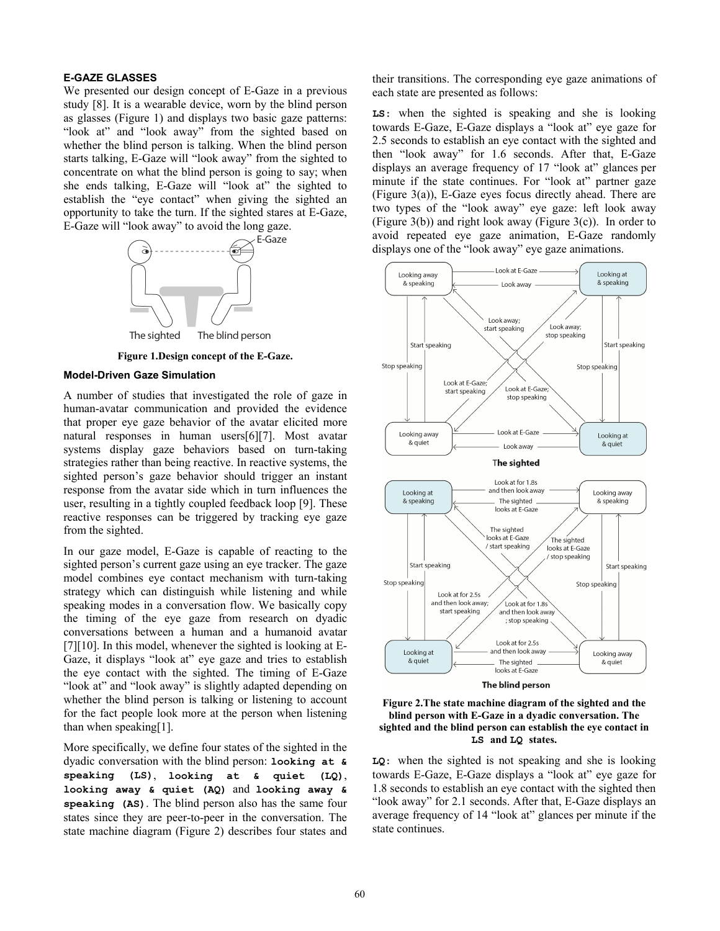# **E-GAZE GLASSES**

We presented our design concept of E-Gaze in a previous study [8]. It is a wearable device, worn by the blind person as glasses (Figure 1) and displays two basic gaze patterns: "look at" and "look away" from the sighted based on whether the blind person is talking. When the blind person starts talking, E-Gaze will "look away" from the sighted to concentrate on what the blind person is going to say; when she ends talking, E-Gaze will "look at" the sighted to establish the "eye contact" when giving the sighted an opportunity to take the turn. If the sighted stares at E-Gaze, E-Gaze will "look away" to avoid the long gaze.



**Figure 1.Design concept of the E-Gaze.** 

#### **Model-Driven Gaze Simulation**

A number of studies that investigated the role of gaze in human-avatar communication and provided the evidence that proper eye gaze behavior of the avatar elicited more natural responses in human users[6][7]. Most avatar systems display gaze behaviors based on turn-taking strategies rather than being reactive. In reactive systems, the sighted person's gaze behavior should trigger an instant response from the avatar side which in turn influences the user, resulting in a tightly coupled feedback loop [9]. These reactive responses can be triggered by tracking eye gaze from the sighted.

In our gaze model, E-Gaze is capable of reacting to the sighted person's current gaze using an eye tracker. The gaze model combines eye contact mechanism with turn-taking strategy which can distinguish while listening and while speaking modes in a conversation flow. We basically copy the timing of the eye gaze from research on dyadic conversations between a human and a humanoid avatar [7][10]. In this model, whenever the sighted is looking at E-Gaze, it displays "look at" eye gaze and tries to establish the eye contact with the sighted. The timing of E-Gaze "look at" and "look away" is slightly adapted depending on whether the blind person is talking or listening to account for the fact people look more at the person when listening than when speaking[1].

More specifically, we define four states of the sighted in the dyadic conversation with the blind person: **looking at & speaking (LS)**, **looking at & quiet (LQ)**, **looking away & quiet (AQ)** and **looking away & speaking (AS)**. The blind person also has the same four states since they are peer-to-peer in the conversation. The state machine diagram (Figure 2) describes four states and

their transitions. The corresponding eye gaze animations of each state are presented as follows:

**LS:** when the sighted is speaking and she is looking towards E-Gaze, E-Gaze displays a "look at" eye gaze for 2.5 seconds to establish an eye contact with the sighted and then "look away" for 1.6 seconds. After that, E-Gaze displays an average frequency of 17 "look at" glances per minute if the state continues. For "look at" partner gaze (Figure 3(a)), E-Gaze eyes focus directly ahead. There are two types of the "look away" eye gaze: left look away (Figure  $3(b)$ ) and right look away (Figure  $3(c)$ ). In order to avoid repeated eye gaze animation, E-Gaze randomly displays one of the "look away" eye gaze animations.





**LQ:** when the sighted is not speaking and she is looking towards E-Gaze, E-Gaze displays a "look at" eye gaze for 1.8 seconds to establish an eye contact with the sighted then "look away" for 2.1 seconds. After that, E-Gaze displays an average frequency of 14 "look at" glances per minute if the state continues.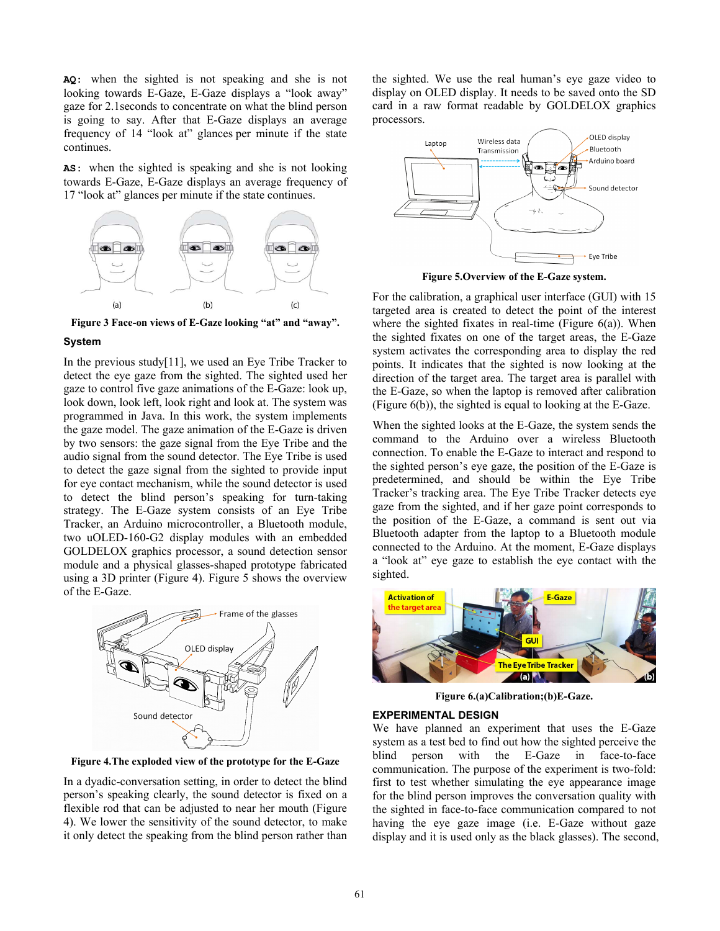**AQ:** when the sighted is not speaking and she is not looking towards E-Gaze, E-Gaze displays a "look away" gaze for 2.1seconds to concentrate on what the blind person is going to say. After that E-Gaze displays an average frequency of 14 "look at" glances per minute if the state continues.

**AS:** when the sighted is speaking and she is not looking towards E-Gaze, E-Gaze displays an average frequency of 17 "look at" glances per minute if the state continues.



**Figure 3 Face-on views of E-Gaze looking "at" and "away".** 

#### **System**

In the previous study[11], we used an Eye Tribe Tracker to detect the eye gaze from the sighted. The sighted used her gaze to control five gaze animations of the E-Gaze: look up, look down, look left, look right and look at. The system was programmed in Java. In this work, the system implements the gaze model. The gaze animation of the E-Gaze is driven by two sensors: the gaze signal from the Eye Tribe and the audio signal from the sound detector. The Eye Tribe is used to detect the gaze signal from the sighted to provide input for eye contact mechanism, while the sound detector is used to detect the blind person's speaking for turn-taking strategy. The E-Gaze system consists of an Eye Tribe Tracker, an Arduino microcontroller, a Bluetooth module, two uOLED-160-G2 display modules with an embedded GOLDELOX graphics processor, a sound detection sensor module and a physical glasses-shaped prototype fabricated using a 3D printer (Figure 4). Figure 5 shows the overview of the E-Gaze.



**Figure 4.The exploded view of the prototype for the E-Gaze** 

In a dyadic-conversation setting, in order to detect the blind person's speaking clearly, the sound detector is fixed on a flexible rod that can be adjusted to near her mouth (Figure 4). We lower the sensitivity of the sound detector, to make it only detect the speaking from the blind person rather than

the sighted. We use the real human's eye gaze video to display on OLED display. It needs to be saved onto the SD card in a raw format readable by GOLDELOX graphics processors.



**Figure 5.Overview of the E-Gaze system.** 

For the calibration, a graphical user interface (GUI) with 15 targeted area is created to detect the point of the interest where the sighted fixates in real-time (Figure  $6(a)$ ). When the sighted fixates on one of the target areas, the E-Gaze system activates the corresponding area to display the red points. It indicates that the sighted is now looking at the direction of the target area. The target area is parallel with the E-Gaze, so when the laptop is removed after calibration (Figure 6(b)), the sighted is equal to looking at the E-Gaze.

When the sighted looks at the E-Gaze, the system sends the command to the Arduino over a wireless Bluetooth connection. To enable the E-Gaze to interact and respond to the sighted person's eye gaze, the position of the E-Gaze is predetermined, and should be within the Eye Tribe Tracker's tracking area. The Eye Tribe Tracker detects eye gaze from the sighted, and if her gaze point corresponds to the position of the E-Gaze, a command is sent out via Bluetooth adapter from the laptop to a Bluetooth module connected to the Arduino. At the moment, E-Gaze displays a "look at" eye gaze to establish the eye contact with the sighted.



**Figure 6.(a)Calibration;(b)E-Gaze.** 

#### **EXPERIMENTAL DESIGN**

We have planned an experiment that uses the E-Gaze system as a test bed to find out how the sighted perceive the blind person with the E-Gaze in face-to-face communication. The purpose of the experiment is two-fold: first to test whether simulating the eye appearance image for the blind person improves the conversation quality with the sighted in face-to-face communication compared to not having the eye gaze image (i.e. E-Gaze without gaze display and it is used only as the black glasses). The second,